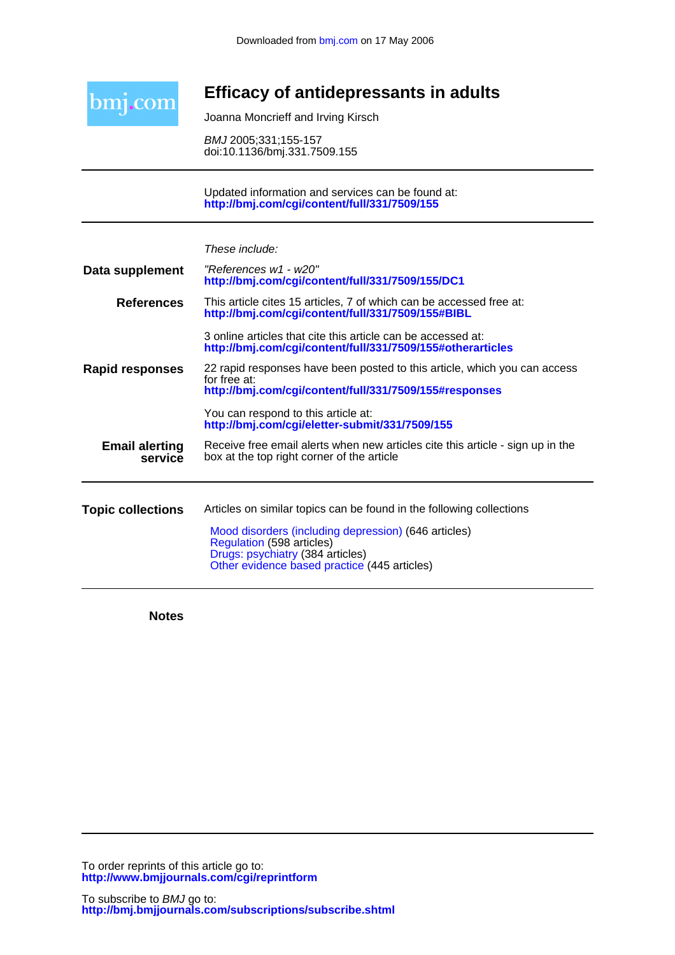

# **Efficacy of antidepressants in adults**

Joanna Moncrieff and Irving Kirsch

doi:10.1136/bmj.331.7509.155 BMJ 2005;331;155-157

**<http://bmj.com/cgi/content/full/331/7509/155>** Updated information and services can be found at:

|                                  | These include:                                                                                                                                                        |
|----------------------------------|-----------------------------------------------------------------------------------------------------------------------------------------------------------------------|
| Data supplement                  | "References w1 - w20"<br>http://bmj.com/cgi/content/full/331/7509/155/DC1                                                                                             |
| <b>References</b>                | This article cites 15 articles, 7 of which can be accessed free at:<br>http://bmj.com/cgi/content/full/331/7509/155#BIBL                                              |
|                                  | 3 online articles that cite this article can be accessed at:<br>http://bmj.com/cgi/content/full/331/7509/155#otherarticles                                            |
| <b>Rapid responses</b>           | 22 rapid responses have been posted to this article, which you can access<br>for free at:<br>http://bmj.com/cgi/content/full/331/7509/155#responses                   |
|                                  | You can respond to this article at:<br>http://bmj.com/cgi/eletter-submit/331/7509/155                                                                                 |
| <b>Email alerting</b><br>service | Receive free email alerts when new articles cite this article - sign up in the<br>box at the top right corner of the article                                          |
|                                  |                                                                                                                                                                       |
| <b>Topic collections</b>         | Articles on similar topics can be found in the following collections                                                                                                  |
|                                  | Mood disorders (including depression) (646 articles)<br>Regulation (598 articles)<br>Drugs: psychiatry (384 articles)<br>Other evidence based practice (445 articles) |

**Notes**

**<http://www.bmjjournals.com/cgi/reprintform>** To order reprints of this article go to: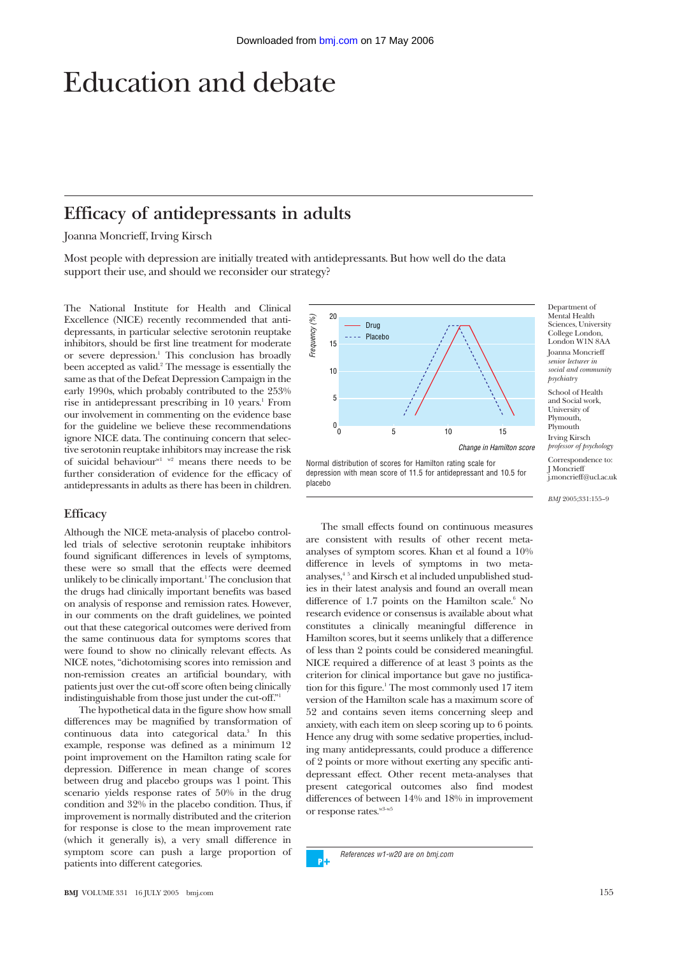# Education and debate

# **Efficacy of antidepressants in adults**

Joanna Moncrieff, Irving Kirsch

Most people with depression are initially treated with antidepressants. But how well do the data support their use, and should we reconsider our strategy?

The National Institute for Health and Clinical Excellence (NICE) recently recommended that antidepressants, in particular selective serotonin reuptake inhibitors, should be first line treatment for moderate or severe depression.<sup>1</sup> This conclusion has broadly been accepted as valid.<sup>2</sup> The message is essentially the same as that of the Defeat Depression Campaign in the early 1990s, which probably contributed to the 253% rise in antidepressant prescribing in 10 years.<sup>1</sup> From our involvement in commenting on the evidence base for the guideline we believe these recommendations ignore NICE data. The continuing concern that selective serotonin reuptake inhibitors may increase the risk of suicidal behaviour<sup>w1</sup>  $w^2$  means there needs to be further consideration of evidence for the efficacy of antidepressants in adults as there has been in children.

### **Efficacy**

Although the NICE meta-analysis of placebo controlled trials of selective serotonin reuptake inhibitors found significant differences in levels of symptoms, these were so small that the effects were deemed unlikely to be clinically important.<sup>1</sup> The conclusion that the drugs had clinically important benefits was based on analysis of response and remission rates. However, in our comments on the draft guidelines, we pointed out that these categorical outcomes were derived from the same continuous data for symptoms scores that were found to show no clinically relevant effects. As NICE notes, "dichotomising scores into remission and non-remission creates an artificial boundary, with patients just over the cut-off score often being clinically indistinguishable from those just under the cut-off."1

The hypothetical data in the figure show how small differences may be magnified by transformation of continuous data into categorical data.<sup>3</sup> In this example, response was defined as a minimum 12 point improvement on the Hamilton rating scale for depression. Difference in mean change of scores between drug and placebo groups was 1 point. This scenario yields response rates of 50% in the drug condition and 32% in the placebo condition. Thus, if improvement is normally distributed and the criterion for response is close to the mean improvement rate (which it generally is), a very small difference in symptom score can push a large proportion of patients into different categories.



Normal distribution of scores for Hamilton rating scale for depression with mean score of 11.5 for antidepressant and 10.5 for placebo

The small effects found on continuous measures are consistent with results of other recent metaanalyses of symptom scores. Khan et al found a 10% difference in levels of symptoms in two metaanalyses,4 5 and Kirsch et al included unpublished studies in their latest analysis and found an overall mean difference of 1.7 points on the Hamilton scale.<sup>6</sup> No research evidence or consensus is available about what constitutes a clinically meaningful difference in Hamilton scores, but it seems unlikely that a difference of less than 2 points could be considered meaningful. NICE required a difference of at least 3 points as the criterion for clinical importance but gave no justification for this figure.<sup>1</sup> The most commonly used 17 item version of the Hamilton scale has a maximum score of 52 and contains seven items concerning sleep and anxiety, with each item on sleep scoring up to 6 points. Hence any drug with some sedative properties, including many antidepressants, could produce a difference of 2 points or more without exerting any specific antidepressant effect. Other recent meta-analyses that present categorical outcomes also find modest differences of between 14% and 18% in improvement or response rates.<sup>w3-w5</sup>



Department of Mental Health Sciences, University College London, London W1N 8AA Joanna Moncrieff *senior lecturer in social and community psychiatry* School of Health

and Social work, University of Plymouth, Plymouth Irving Kirsch *professor of psychology* Correspondence to: J Moncrieff j.moncrieff@ucl.ac.uk

*BMJ* 2005;331:155–9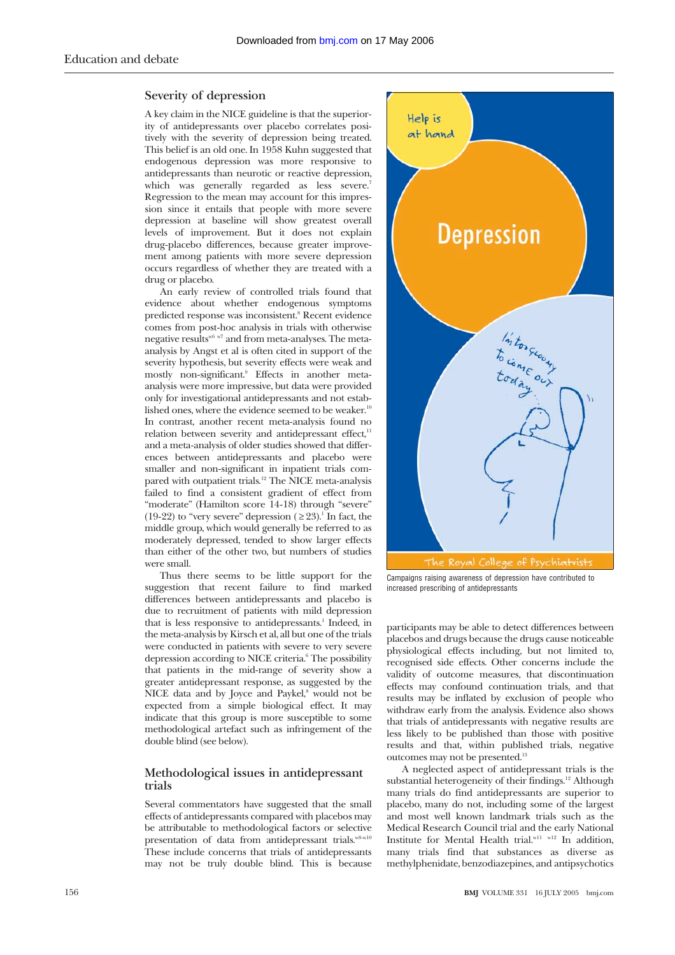# **Severity of depression**

A key claim in the NICE guideline is that the superiority of antidepressants over placebo correlates positively with the severity of depression being treated. This belief is an old one. In 1958 Kuhn suggested that endogenous depression was more responsive to antidepressants than neurotic or reactive depression, which was generally regarded as less severe.<sup>7</sup> Regression to the mean may account for this impression since it entails that people with more severe depression at baseline will show greatest overall levels of improvement. But it does not explain drug-placebo differences, because greater improvement among patients with more severe depression occurs regardless of whether they are treated with a drug or placebo.

An early review of controlled trials found that evidence about whether endogenous symptoms predicted response was inconsistent.8 Recent evidence comes from post-hoc analysis in trials with otherwise negative resultsw6 w7 and from meta-analyses. The metaanalysis by Angst et al is often cited in support of the severity hypothesis, but severity effects were weak and mostly non-significant.9 Effects in another metaanalysis were more impressive, but data were provided only for investigational antidepressants and not established ones, where the evidence seemed to be weaker.<sup>10</sup> In contrast, another recent meta-analysis found no relation between severity and antidepressant effect,<sup>11</sup> and a meta-analysis of older studies showed that differences between antidepressants and placebo were smaller and non-significant in inpatient trials compared with outpatient trials.<sup>12</sup> The NICE meta-analysis failed to find a consistent gradient of effect from "moderate" (Hamilton score 14-18) through "severe" (19-22) to "very severe" depression ( $\geq 23$ ).<sup>1</sup> In fact, the middle group, which would generally be referred to as moderately depressed, tended to show larger effects than either of the other two, but numbers of studies were small.

Thus there seems to be little support for the suggestion that recent failure to find marked differences between antidepressants and placebo is due to recruitment of patients with mild depression that is less responsive to antidepressants.<sup>1</sup> Indeed, in the meta-analysis by Kirsch et al, all but one of the trials were conducted in patients with severe to very severe depression according to NICE criteria.<sup>6</sup> The possibility that patients in the mid-range of severity show a greater antidepressant response, as suggested by the NICE data and by Joyce and Paykel,<sup>8</sup> would not be expected from a simple biological effect. It may indicate that this group is more susceptible to some methodological artefact such as infringement of the double blind (see below).

## **Methodological issues in antidepressant trials**

Several commentators have suggested that the small effects of antidepressants compared with placebos may be attributable to methodological factors or selective presentation of data from antidepressant trials.<sup>w8-w10</sup> These include concerns that trials of antidepressants may not be truly double blind. This is because



Campaigns raising awareness of depression have contributed to increased prescribing of antidepressants

participants may be able to detect differences between placebos and drugs because the drugs cause noticeable physiological effects including, but not limited to, recognised side effects. Other concerns include the validity of outcome measures, that discontinuation effects may confound continuation trials, and that results may be inflated by exclusion of people who withdraw early from the analysis. Evidence also shows that trials of antidepressants with negative results are less likely to be published than those with positive results and that, within published trials, negative outcomes may not be presented.<sup>13</sup>

A neglected aspect of antidepressant trials is the substantial heterogeneity of their findings.<sup>12</sup> Although many trials do find antidepressants are superior to placebo, many do not, including some of the largest and most well known landmark trials such as the Medical Research Council trial and the early National Institute for Mental Health trial.<sup>w11</sup> w<sup>12</sup> In addition, many trials find that substances as diverse as methylphenidate, benzodiazepines, and antipsychotics